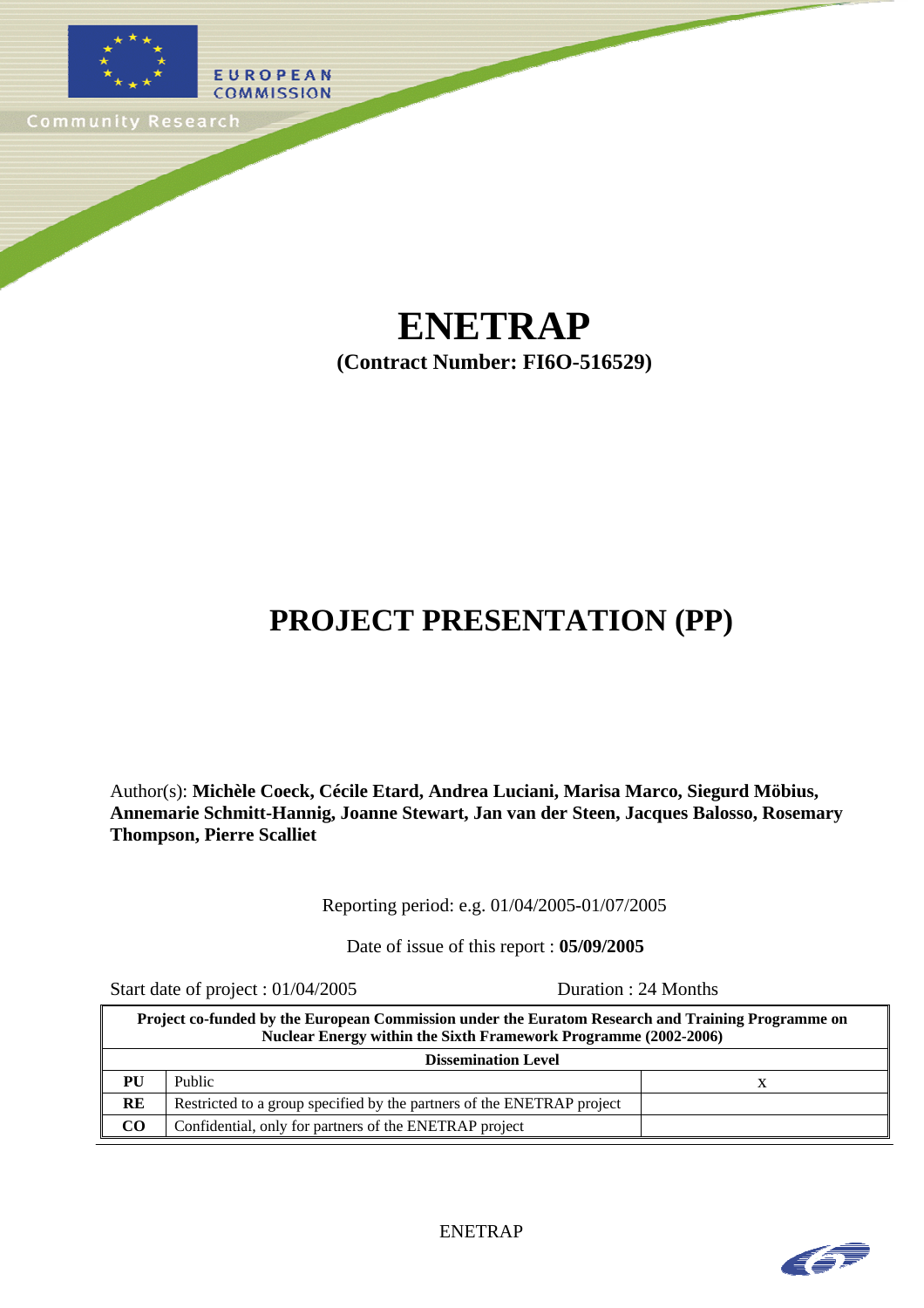

## **ENETRAP (Contract Number: FI6O-516529)**

# **PROJECT PRESENTATION (PP)**

Author(s): **Michèle Coeck, Cécile Etard, Andrea Luciani, Marisa Marco, Siegurd Möbius, Annemarie Schmitt-Hannig, Joanne Stewart, Jan van der Steen, Jacques Balosso, Rosemary Thompson, Pierre Scalliet**

Reporting period: e.g. 01/04/2005-01/07/2005

Date of issue of this report : **05/09/2005** 

Start date of project : 01/04/2005 Duration : 24 Months

| Project co-funded by the European Commission under the Euratom Research and Training Programme on<br>Nuclear Energy within the Sixth Framework Programme (2002-2006) |                                                                        |  |  |  |  |
|----------------------------------------------------------------------------------------------------------------------------------------------------------------------|------------------------------------------------------------------------|--|--|--|--|
| <b>Dissemination Level</b>                                                                                                                                           |                                                                        |  |  |  |  |
| PU                                                                                                                                                                   | Public                                                                 |  |  |  |  |
| <b>RE</b>                                                                                                                                                            | Restricted to a group specified by the partners of the ENETRAP project |  |  |  |  |
| CO                                                                                                                                                                   | Confidential, only for partners of the ENETRAP project                 |  |  |  |  |

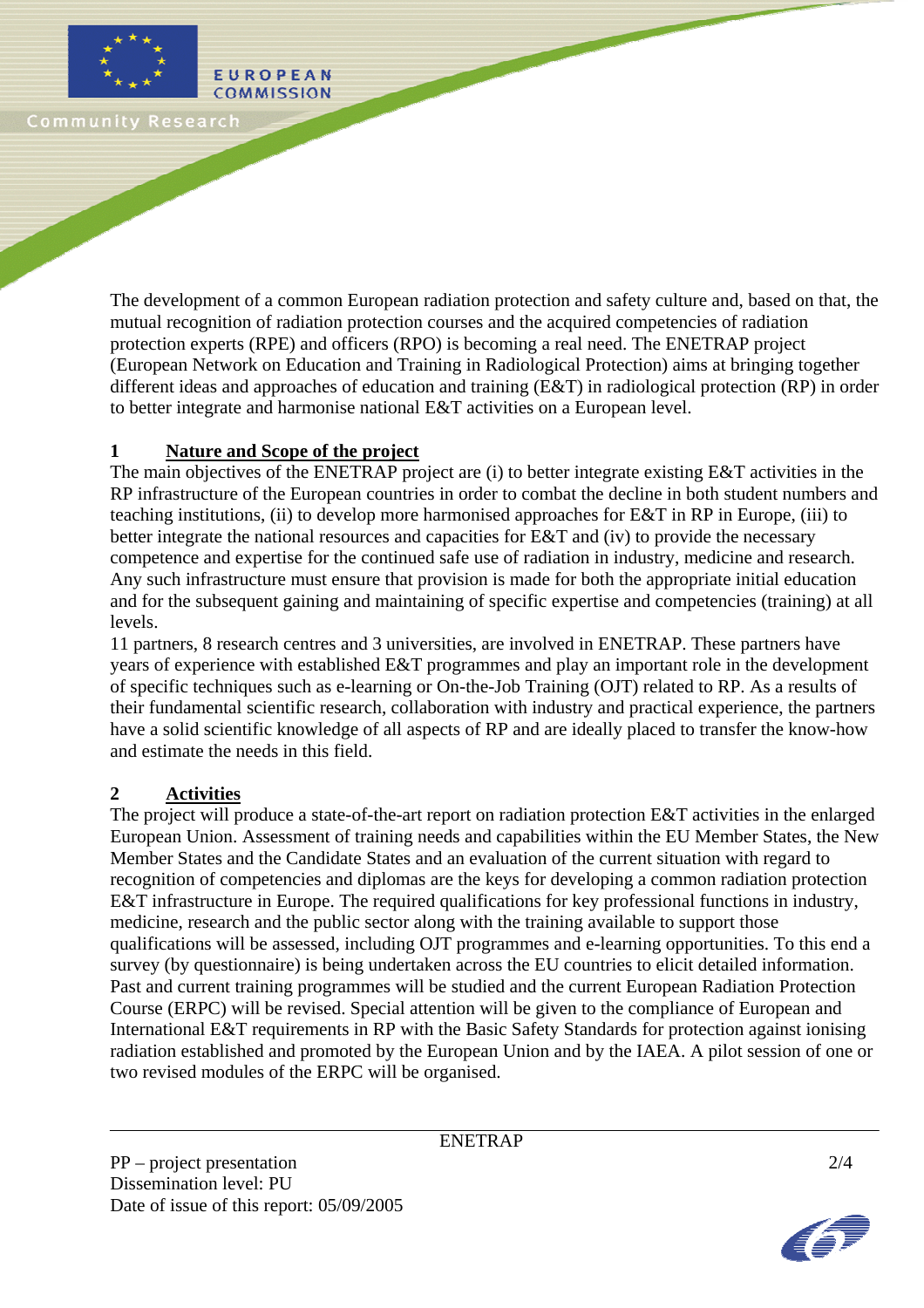

The development of a common European radiation protection and safety culture and, based on that, the mutual recognition of radiation protection courses and the acquired competencies of radiation protection experts (RPE) and officers (RPO) is becoming a real need. The ENETRAP project (European Network on Education and Training in Radiological Protection) aims at bringing together different ideas and approaches of education and training (E&T) in radiological protection (RP) in order to better integrate and harmonise national E&T activities on a European level.

#### **1 Nature and Scope of the project**

EUROPEAN

The main objectives of the ENETRAP project are (i) to better integrate existing E&T activities in the RP infrastructure of the European countries in order to combat the decline in both student numbers and teaching institutions, (ii) to develop more harmonised approaches for E&T in RP in Europe, (iii) to better integrate the national resources and capacities for E&T and (iv) to provide the necessary competence and expertise for the continued safe use of radiation in industry, medicine and research. Any such infrastructure must ensure that provision is made for both the appropriate initial education and for the subsequent gaining and maintaining of specific expertise and competencies (training) at all levels.

11 partners, 8 research centres and 3 universities, are involved in ENETRAP. These partners have years of experience with established E&T programmes and play an important role in the development of specific techniques such as e-learning or On-the-Job Training (OJT) related to RP. As a results of their fundamental scientific research, collaboration with industry and practical experience, the partners have a solid scientific knowledge of all aspects of RP and are ideally placed to transfer the know-how and estimate the needs in this field.

#### **2 Activities**

The project will produce a state-of-the-art report on radiation protection E&T activities in the enlarged European Union. Assessment of training needs and capabilities within the EU Member States, the New Member States and the Candidate States and an evaluation of the current situation with regard to recognition of competencies and diplomas are the keys for developing a common radiation protection E&T infrastructure in Europe. The required qualifications for key professional functions in industry, medicine, research and the public sector along with the training available to support those qualifications will be assessed, including OJT programmes and e-learning opportunities. To this end a survey (by questionnaire) is being undertaken across the EU countries to elicit detailed information. Past and current training programmes will be studied and the current European Radiation Protection Course (ERPC) will be revised. Special attention will be given to the compliance of European and International E&T requirements in RP with the Basic Safety Standards for protection against ionising radiation established and promoted by the European Union and by the IAEA. A pilot session of one or two revised modules of the ERPC will be organised.

ENETRAP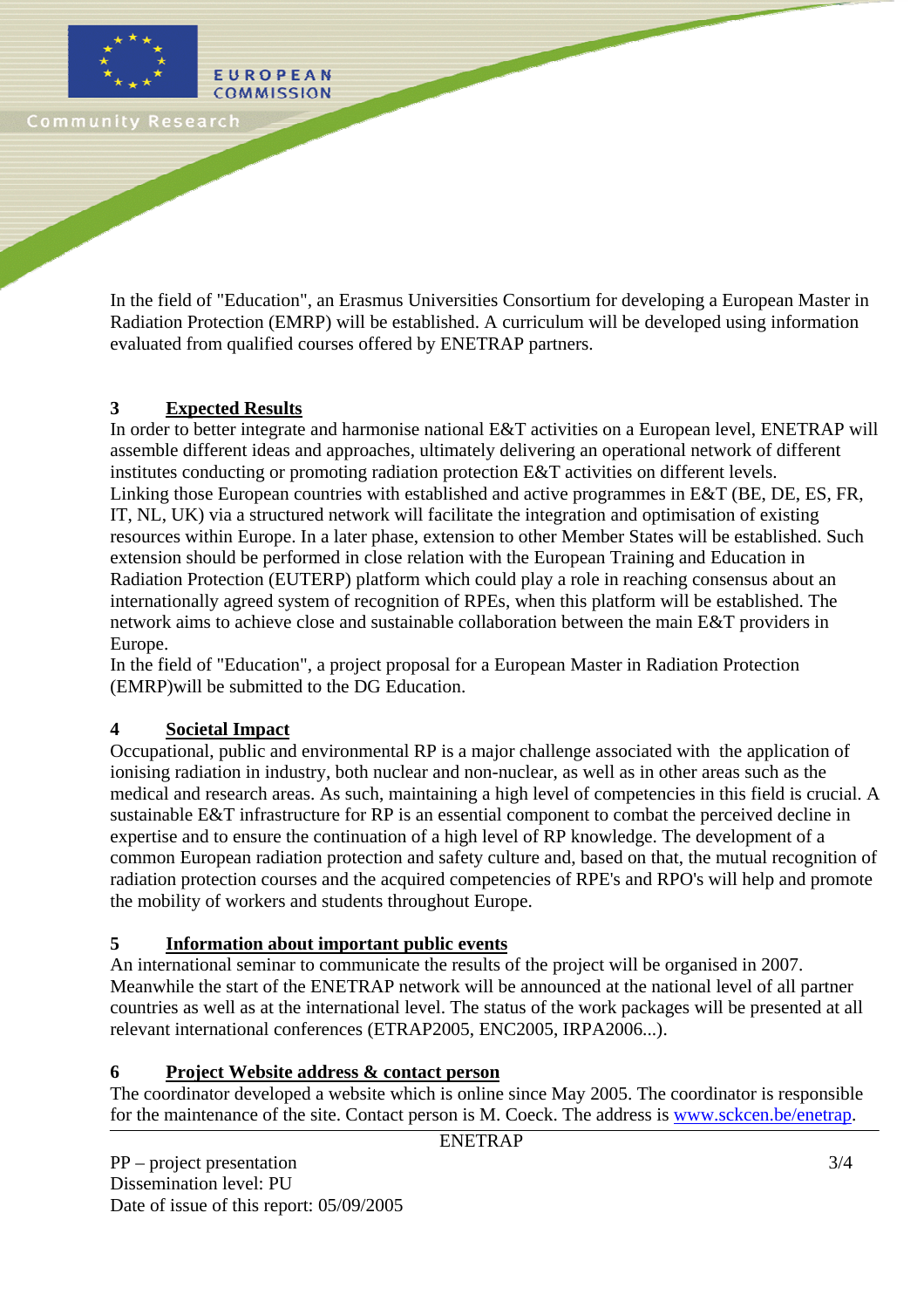

In the field of "Education", an Erasmus Universities Consortium for developing a European Master in Radiation Protection (EMRP) will be established. A curriculum will be developed using information evaluated from qualified courses offered by ENETRAP partners.

## **3 Expected Results**

EUROPEAN

In order to better integrate and harmonise national E&T activities on a European level, ENETRAP will assemble different ideas and approaches, ultimately delivering an operational network of different institutes conducting or promoting radiation protection E&T activities on different levels. Linking those European countries with established and active programmes in E&T (BE, DE, ES, FR, IT, NL, UK) via a structured network will facilitate the integration and optimisation of existing resources within Europe. In a later phase, extension to other Member States will be established. Such extension should be performed in close relation with the European Training and Education in Radiation Protection (EUTERP) platform which could play a role in reaching consensus about an internationally agreed system of recognition of RPEs, when this platform will be established. The network aims to achieve close and sustainable collaboration between the main E&T providers in Europe.

In the field of "Education", a project proposal for a European Master in Radiation Protection (EMRP)will be submitted to the DG Education.

## **4 Societal Impact**

Occupational, public and environmental RP is a major challenge associated with the application of ionising radiation in industry, both nuclear and non-nuclear, as well as in other areas such as the medical and research areas. As such, maintaining a high level of competencies in this field is crucial. A sustainable E&T infrastructure for RP is an essential component to combat the perceived decline in expertise and to ensure the continuation of a high level of RP knowledge. The development of a common European radiation protection and safety culture and, based on that, the mutual recognition of radiation protection courses and the acquired competencies of RPE's and RPO's will help and promote the mobility of workers and students throughout Europe.

## **5 Information about important public events**

An international seminar to communicate the results of the project will be organised in 2007. Meanwhile the start of the ENETRAP network will be announced at the national level of all partner countries as well as at the international level. The status of the work packages will be presented at all relevant international conferences (ETRAP2005, ENC2005, IRPA2006...).

#### **6 Project Website address & contact person**

The coordinator developed a website which is online since May 2005. The coordinator is responsible for the maintenance of the site. Contact person is M. Coeck. The address is www.sckcen.be/enetrap.